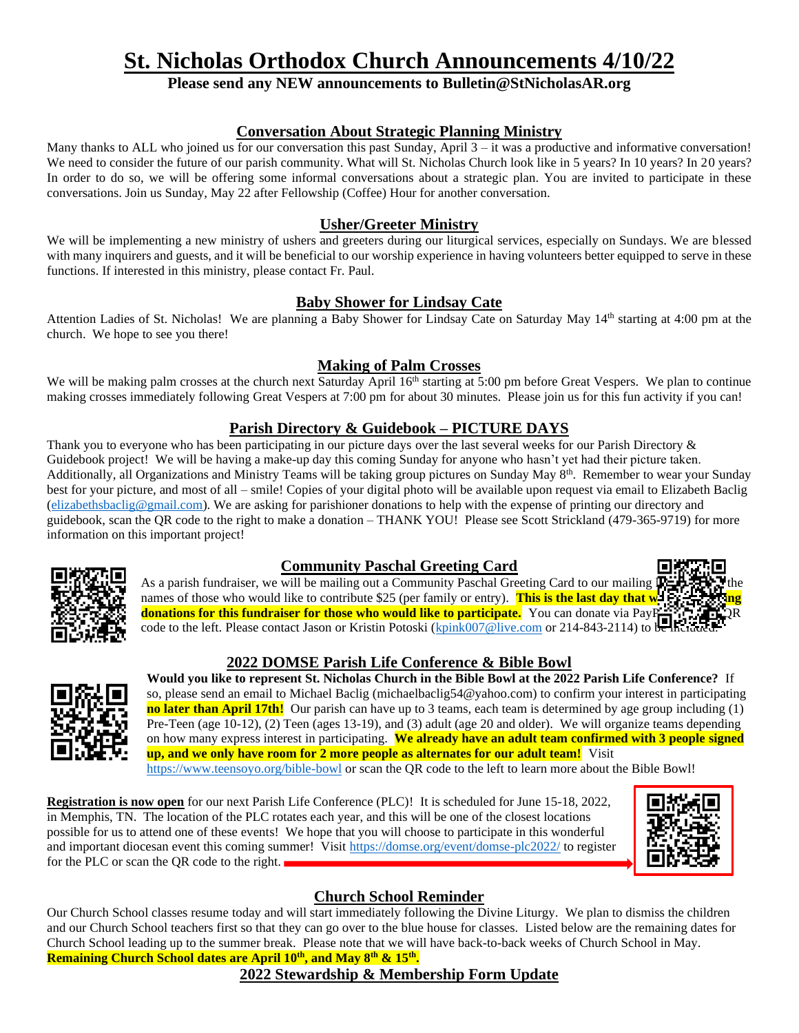# **St. Nicholas Orthodox Church Announcements 4/10/22**

## **Please send any NEW announcements to Bulletin@StNicholasAR.org**

#### **Conversation About Strategic Planning Ministry**

Many thanks to ALL who joined us for our conversation this past Sunday, April  $3 - it$  was a productive and informative conversation! We need to consider the future of our parish community. What will St. Nicholas Church look like in 5 years? In 10 years? In 20 years? In order to do so, we will be offering some informal conversations about a strategic plan. You are invited to participate in these conversations. Join us Sunday, May 22 after Fellowship (Coffee) Hour for another conversation.

#### **Usher/Greeter Ministry**

We will be implementing a new ministry of ushers and greeters during our liturgical services, especially on Sundays. We are blessed with many inquirers and guests, and it will be beneficial to our worship experience in having volunteers better equipped to serve in these functions. If interested in this ministry, please contact Fr. Paul.

#### **Baby Shower for Lindsay Cate**

Attention Ladies of St. Nicholas! We are planning a Baby Shower for Lindsay Cate on Saturday May 14th starting at 4:00 pm at the church. We hope to see you there!

#### **Making of Palm Crosses**

We will be making palm crosses at the church next Saturday April  $16<sup>th</sup>$  starting at 5:00 pm before Great Vespers. We plan to continue making crosses immediately following Great Vespers at 7:00 pm for about 30 minutes. Please join us for this fun activity if you can!

## **Parish Directory & Guidebook – PICTURE DAYS**

Thank you to everyone who has been participating in our picture days over the last several weeks for our Parish Directory & Guidebook project! We will be having a make-up day this coming Sunday for anyone who hasn't yet had their picture taken. Additionally, all Organizations and Ministry Teams will be taking group pictures on Sunday May 8<sup>th</sup>. Remember to wear your Sunday best for your picture, and most of all – smile! Copies of your digital photo will be available upon request via email to Elizabeth Baclig [\(elizabethsbaclig@gmail.com\)](mailto:elizabethsbaclig@gmail.com). We are asking for parishioner donations to help with the expense of printing our directory and guidebook, scan the QR code to the right to make a donation – THANK YOU! Please see Scott Strickland (479-365-9719) for more information on this important project!



## **Community Paschal Greeting Card**

As a parish fundraiser, we will be mailing out a Community Paschal Greeting Card to our mailing l names of those who would like to contribute \$25 (per family or entry). **This is the last day that we donations for this fundraiser for those who would like to participate.** You can donate via PayPran USIR R code to the left. Please contact Jason or Kristin Potoski [\(kpink007@live.com](mailto:kpink007@live.com) or 214-843-2114) to be included.

## **2022 DOMSE Parish Life Conference & Bible Bowl**



**Would you like to represent St. Nicholas Church in the Bible Bowl at the 2022 Parish Life Conference?** If so, please send an email to Michael Baclig (michaelbaclig54@yahoo.com) to confirm your interest in participating **no later than April 17th!** Our parish can have up to 3 teams, each team is determined by age group including (1) Pre-Teen (age 10-12), (2) Teen (ages 13-19), and (3) adult (age 20 and older). We will organize teams depending on how many express interest in participating. **We already have an adult team confirmed with 3 people signed up, and we only have room for 2 more people as alternates for our adult team!** Visit

<https://www.teensoyo.org/bible-bowl> or scan the QR code to the left to learn more about the Bible Bowl!

**Registration is now open** for our next Parish Life Conference (PLC)! It is scheduled for June 15-18, 2022, in Memphis, TN. The location of the PLC rotates each year, and this will be one of the closest locations possible for us to attend one of these events! We hope that you will choose to participate in this wonderful and important diocesan event this coming summer! Visit<https://domse.org/event/domse-plc2022/> to register for the PLC or scan the QR code to the right.



# **Church School Reminder**

Our Church School classes resume today and will start immediately following the Divine Liturgy. We plan to dismiss the children and our Church School teachers first so that they can go over to the blue house for classes. Listed below are the remaining dates for Church School leading up to the summer break. Please note that we will have back-to-back weeks of Church School in May. **Remaining Church School dates are April 10th , and May 8th & 15th .**

## **2022 Stewardship & Membership Form Update**